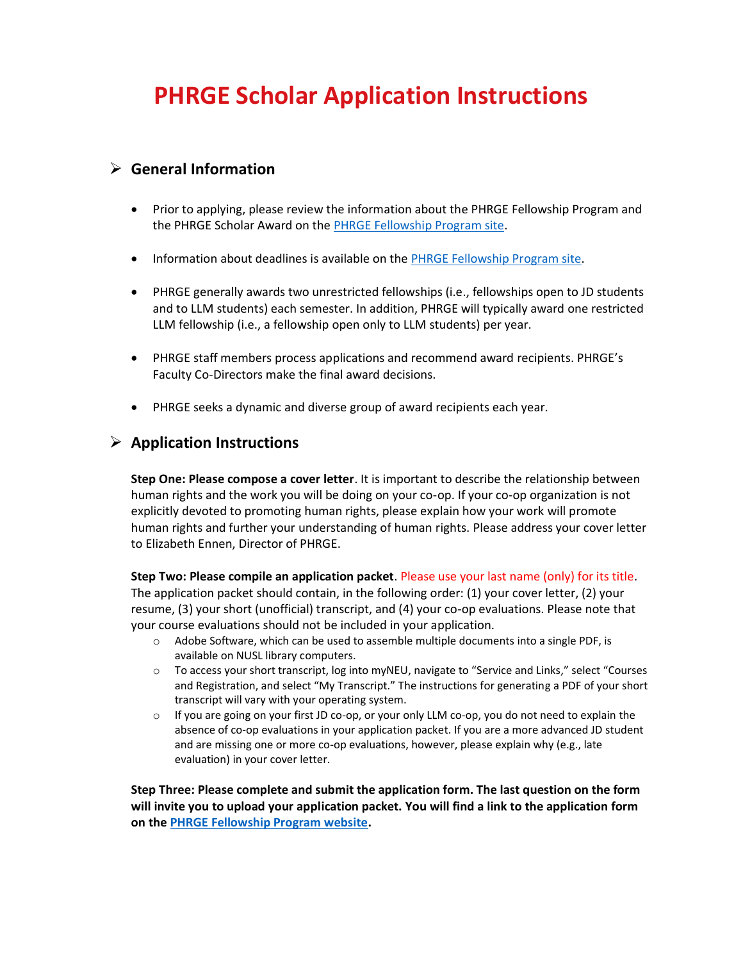# **PHRGE Scholar Application Instructions**

#### ➢ **General Information**

- Prior to applying, please review the information about the PHRGE Fellowship Program and the PHRGE Scholar Award on the [PHRGE Fellowship Program site.](https://law.northeastern.edu/academics/centers/phrge/fellowships/)
- Information about deadlines is available on the [PHRGE Fellowship Program site.](https://law.northeastern.edu/academics/centers/phrge/fellowships/)
- PHRGE generally awards two unrestricted fellowships (i.e., fellowships open to JD students and to LLM students) each semester. In addition, PHRGE will typically award one restricted LLM fellowship (i.e., a fellowship open only to LLM students) per year.
- [PHRGE staff members](https://law.northeastern.edu/academics/centers/phrge/about-us/) process applications and recommend award recipients. [PHRGE's](https://law.northeastern.edu/academics/centers/phrge/about-us/)  [Faculty Co-Directors](https://law.northeastern.edu/academics/centers/phrge/about-us/) make the final award decisions.
- PHRGE seeks a dynamic and diverse group of award recipients each year.

#### ➢ **Application Instructions**

**Step One: Please compose a cover letter**. It is important to describe the relationship between human rights and the work you will be doing on your co-op. If your co-op organization is not explicitly devoted to promoting human rights, please explain how your work will promote human rights and further your understanding of human rights. Please address your cover letter to Elizabeth Ennen, Director of PHRGE.

**Step Two: Please compile an application packet**. Please use your last name (only) for its title. The application packet should contain, in the following order: (1) your cover letter, (2) your resume, (3) your short (unofficial) transcript, and (4) your co-op evaluations. Please note that your course evaluations should not be included in your application.

- o Adobe Software, which can be used to assemble multiple documents into a single PDF, is available on NUSL library computers.
- o To access your short transcript, log into myNEU, navigate to "Service and Links," select "Courses and Registration, and select "My Transcript." The instructions for generating a PDF of your short transcript will vary with your operating system.
- $\circ$  If you are going on your first JD co-op, or your only LLM co-op, you do not need to explain the absence of co-op evaluations in your application packet. If you are a more advanced JD student and are missing one or more co-op evaluations, however, please explain why (e.g., late evaluation) in your cover letter.

**Step Three: Please complete and submit the application form. The last question on the form will invite you to upload your application packet. You will find a link to the application form on the [PHRGE Fellowship Program website.](https://law.northeastern.edu/academics/centers/phrge/fellowships/)**